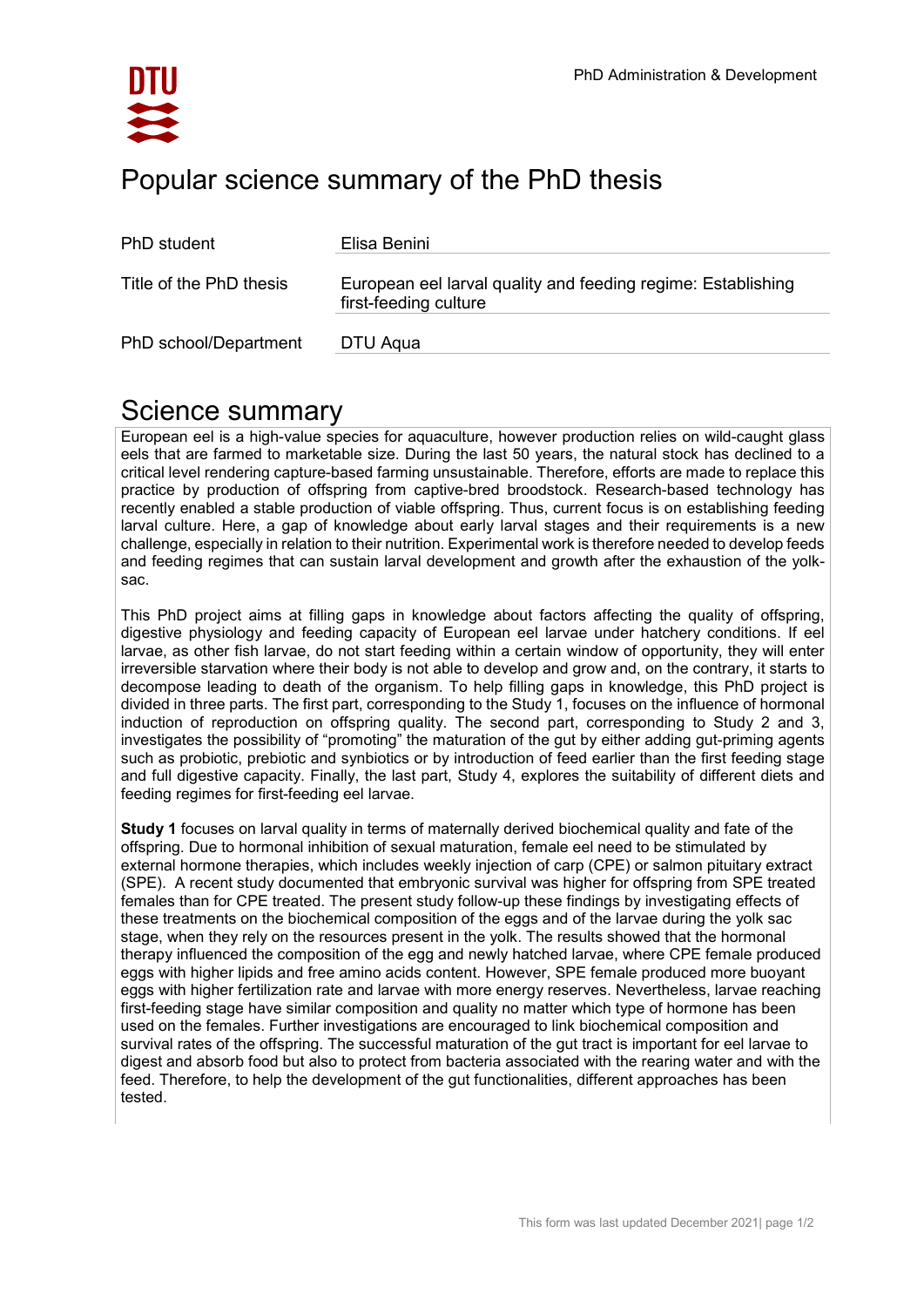

| PhD student             | Elisa Benini                                                                          |
|-------------------------|---------------------------------------------------------------------------------------|
| Title of the PhD thesis | European eel larval quality and feeding regime: Establishing<br>first-feeding culture |
| PhD school/Department   | DTU Aqua                                                                              |

## Science summary

European eel is a high-value species for aquaculture, however production relies on wild-caught glass eels that are farmed to marketable size. During the last 50 years, the natural stock has declined to a critical level rendering capture-based farming unsustainable. Therefore, efforts are made to replace this practice by production of offspring from captive-bred broodstock. Research-based technology has recently enabled a stable production of viable offspring. Thus, current focus is on establishing feeding larval culture. Here, a gap of knowledge about early larval stages and their requirements is a new challenge, especially in relation to their nutrition. Experimental work is therefore needed to develop feeds and feeding regimes that can sustain larval development and growth after the exhaustion of the yolksac.

This PhD project aims at filling gaps in knowledge about factors affecting the quality of offspring, digestive physiology and feeding capacity of European eel larvae under hatchery conditions. If eel larvae, as other fish larvae, do not start feeding within a certain window of opportunity, they will enter irreversible starvation where their body is not able to develop and grow and, on the contrary, it starts to decompose leading to death of the organism. To help filling gaps in knowledge, this PhD project is divided in three parts. The first part, corresponding to the Study 1, focuses on the influence of hormonal induction of reproduction on offspring quality. The second part, corresponding to Study 2 and 3, investigates the possibility of "promoting" the maturation of the gut by either adding gut-priming agents such as probiotic, prebiotic and synbiotics or by introduction of feed earlier than the first feeding stage and full digestive capacity. Finally, the last part, Study 4, explores the suitability of different diets and feeding regimes for first-feeding eel larvae.

**Study 1** focuses on larval quality in terms of maternally derived biochemical quality and fate of the offspring. Due to hormonal inhibition of sexual maturation, female eel need to be stimulated by external hormone therapies, which includes weekly injection of carp (CPE) or salmon pituitary extract (SPE). A recent study documented that embryonic survival was higher for offspring from SPE treated females than for CPE treated. The present study follow-up these findings by investigating effects of these treatments on the biochemical composition of the eggs and of the larvae during the yolk sac stage, when they rely on the resources present in the yolk. The results showed that the hormonal therapy influenced the composition of the egg and newly hatched larvae, where CPE female produced eggs with higher lipids and free amino acids content. However, SPE female produced more buoyant eggs with higher fertilization rate and larvae with more energy reserves. Nevertheless, larvae reaching first-feeding stage have similar composition and quality no matter which type of hormone has been used on the females. Further investigations are encouraged to link biochemical composition and survival rates of the offspring. The successful maturation of the gut tract is important for eel larvae to digest and absorb food but also to protect from bacteria associated with the rearing water and with the feed. Therefore, to help the development of the gut functionalities, different approaches has been tested.